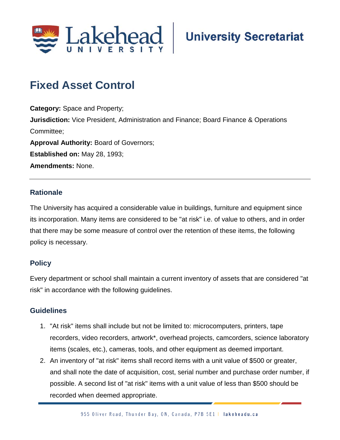

# **Fixed Asset Control**

**Category:** Space and Property; **Jurisdiction:** Vice President, Administration and Finance; Board Finance & Operations Committee; **Approval Authority:** Board of Governors; **Established on:** May 28, 1993; **Amendments:** None.

#### **Rationale**

The University has acquired a considerable value in buildings, furniture and equipment since its incorporation. Many items are considered to be "at risk" i.e. of value to others, and in order that there may be some measure of control over the retention of these items, the following policy is necessary.

## **Policy**

Every department or school shall maintain a current inventory of assets that are considered "at risk" in accordance with the following guidelines.

## **Guidelines**

- 1. "At risk" items shall include but not be limited to: microcomputers, printers, tape recorders, video recorders, artwork\*, overhead projects, camcorders, science laboratory items (scales, etc.), cameras, tools, and other equipment as deemed important.
- 2. An inventory of "at risk" items shall record items with a unit value of \$500 or greater, and shall note the date of acquisition, cost, serial number and purchase order number, if possible. A second list of "at risk" items with a unit value of less than \$500 should be recorded when deemed appropriate.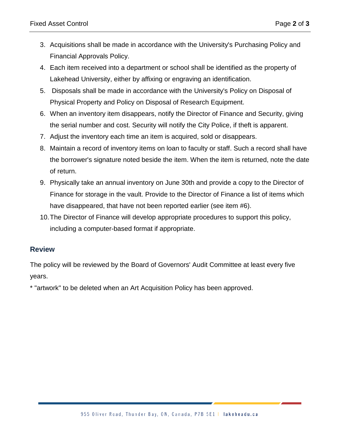- 3. Acquisitions shall be made in accordance with the University's Purchasing Policy and Financial Approvals Policy.
- 4. Each item received into a department or school shall be identified as the property of Lakehead University, either by affixing or engraving an identification.
- 5. Disposals shall be made in accordance with the University's Policy on Disposal of Physical Property and Policy on Disposal of Research Equipment.
- 6. When an inventory item disappears, notify the Director of Finance and Security, giving the serial number and cost. Security will notify the City Police, if theft is apparent.
- 7. Adjust the inventory each time an item is acquired, sold or disappears.
- 8. Maintain a record of inventory items on loan to faculty or staff. Such a record shall have the borrower's signature noted beside the item. When the item is returned, note the date of return.
- 9. Physically take an annual inventory on June 30th and provide a copy to the Director of Finance for storage in the vault. Provide to the Director of Finance a list of items which have disappeared, that have not been reported earlier (see item #6).
- 10.The Director of Finance will develop appropriate procedures to support this policy, including a computer-based format if appropriate.

#### **Review**

The policy will be reviewed by the Board of Governors' Audit Committee at least every five years.

\* "artwork" to be deleted when an Art Acquisition Policy has been approved.